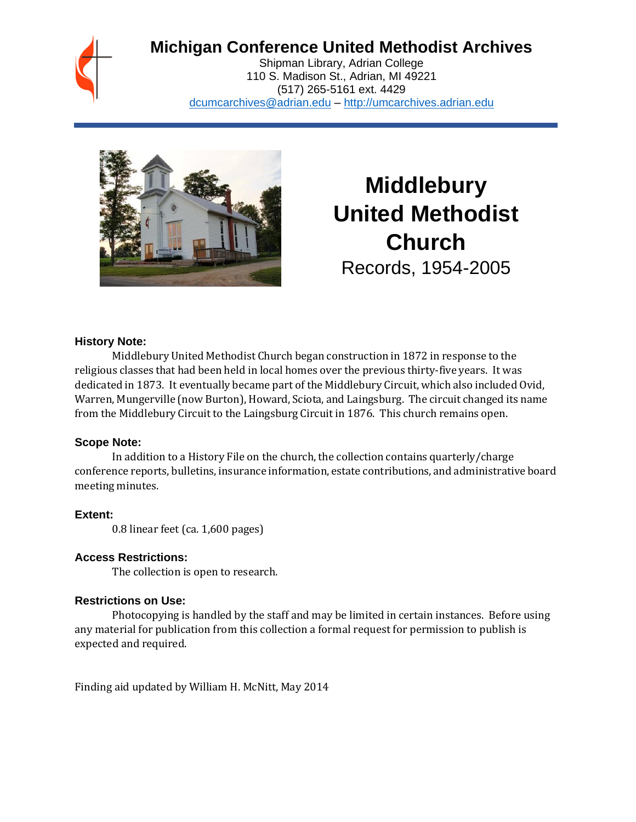## **Michigan Conference United Methodist Archives**

Shipman Library, Adrian College 110 S. Madison St., Adrian, MI 49221 (517) 265-5161 ext. 4429 [dcumcarchives@adrian.edu](mailto:dcumcarchives@adrian.edu) – [http://umcarchives.adrian.edu](http://umcarchives.adrian.edu/)



# **Middlebury United Methodist Church** Records, 1954-2005

#### **History Note:**

Middlebury United Methodist Church began construction in 1872 in response to the religious classes that had been held in local homes over the previous thirty-five years. It was dedicated in 1873. It eventually became part of the Middlebury Circuit, which also included Ovid, Warren, Mungerville (now Burton), Howard, Sciota, and Laingsburg. The circuit changed its name from the Middlebury Circuit to the Laingsburg Circuit in 1876. This church remains open.

#### **Scope Note:**

In addition to a History File on the church, the collection contains quarterly/charge conference reports, bulletins, insurance information, estate contributions, and administrative board meeting minutes.

#### **Extent:**

0.8 linear feet (ca. 1,600 pages)

#### **Access Restrictions:**

The collection is open to research.

#### **Restrictions on Use:**

Photocopying is handled by the staff and may be limited in certain instances. Before using any material for publication from this collection a formal request for permission to publish is expected and required.

Finding aid updated by William H. McNitt, May 2014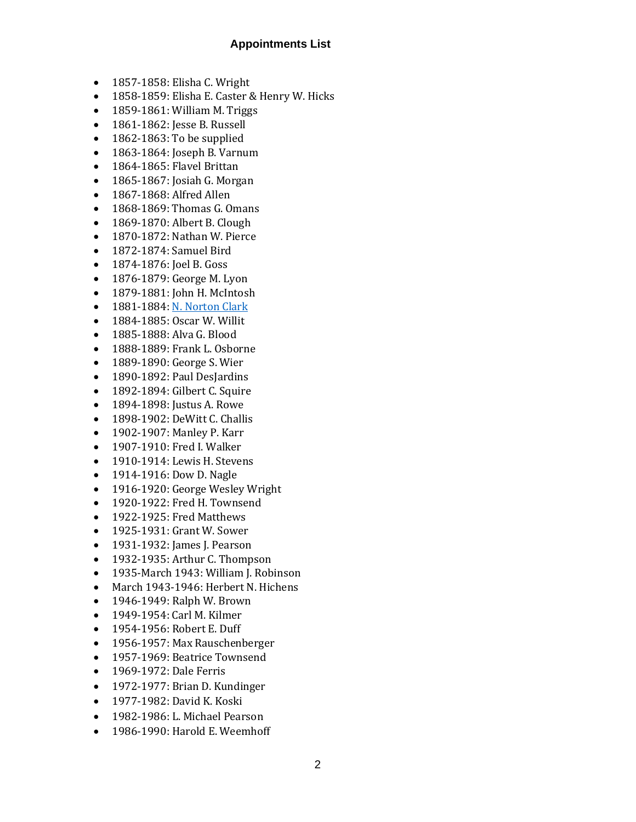#### **Appointments List**

- 1857-1858: Elisha C. Wright
- 1858-1859: Elisha E. Caster & Henry W. Hicks
- 1859-1861: William M. Triggs
- 1861-1862: Jesse B. Russell
- 1862-1863: To be supplied
- 1863-1864: Joseph B. Varnum
- 1864-1865: Flavel Brittan
- 1865-1867: Josiah G. Morgan
- 1867-1868: Alfred Allen
- 1868-1869: Thomas G. Omans
- 1869-1870: Albert B. Clough
- 1870-1872: Nathan W. Pierce
- 1872-1874: Samuel Bird
- 1874-1876: Joel B. Goss
- 1876-1879: George M. Lyon
- 1879-1881: John H. McIntosh
- 1881-1884: N. [Norton](http://umcarchives.adrian.edu/clergy/clarknn.php) Clark
- 1884-1885: Oscar W. Willit
- 1885-1888: Alva G. Blood
- 1888-1889: Frank L. Osborne
- 1889-1890: George S. Wier
- 1890-1892: Paul DesJardins
- 1892-1894: Gilbert C. Squire
- 1894-1898: Justus A. Rowe
- 1898-1902: DeWitt C. Challis
- 1902-1907: Manley P. Karr
- 1907-1910: Fred I. Walker
- 1910-1914: Lewis H. Stevens
- 1914-1916: Dow D. Nagle
- 1916-1920: George Wesley Wright
- 1920-1922: Fred H. Townsend
- 1922-1925: Fred Matthews
- 1925-1931: Grant W. Sower
- 1931-1932: James J. Pearson
- 1932-1935: Arthur C. Thompson
- 1935-March 1943: William J. Robinson
- March 1943-1946: Herbert N. Hichens
- 1946-1949: Ralph W. Brown
- 1949-1954: Carl M. Kilmer
- 1954-1956: Robert E. Duff
- 1956-1957: Max Rauschenberger
- 1957-1969: Beatrice Townsend
- 1969-1972: Dale Ferris
- 1972-1977: Brian D. Kundinger
- 1977-1982: David K. Koski
- 1982-1986: L. Michael Pearson
- 1986-1990: Harold E. Weemhoff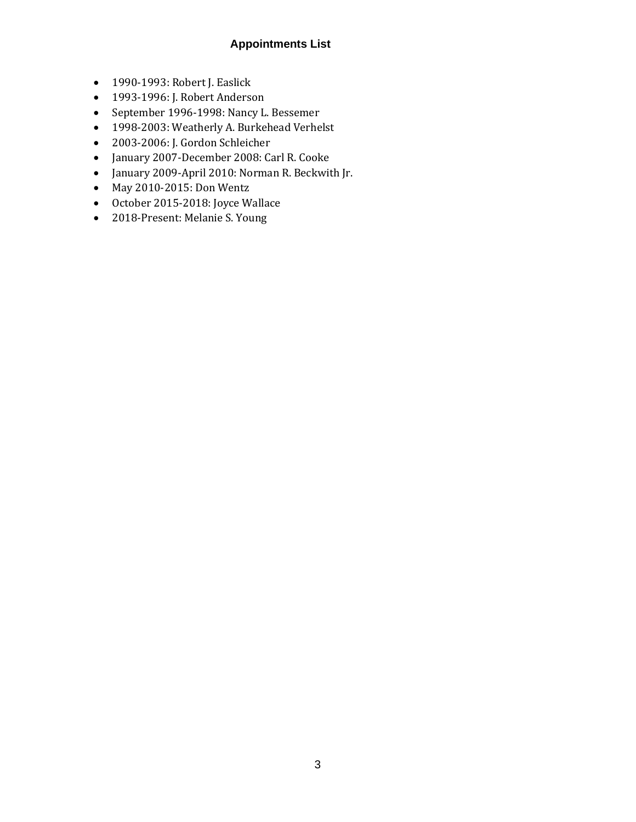### **Appointments List**

- 1990-1993: Robert J. Easlick
- 1993-1996: J. Robert Anderson
- September 1996-1998: Nancy L. Bessemer
- 1998-2003: Weatherly A. Burkehead Verhelst
- 2003-2006: J. Gordon Schleicher
- January 2007-December 2008: Carl R. Cooke
- January 2009-April 2010: Norman R. Beckwith Jr.
- May 2010-2015: Don Wentz
- October 2015-2018: Joyce Wallace
- 2018-Present: Melanie S. Young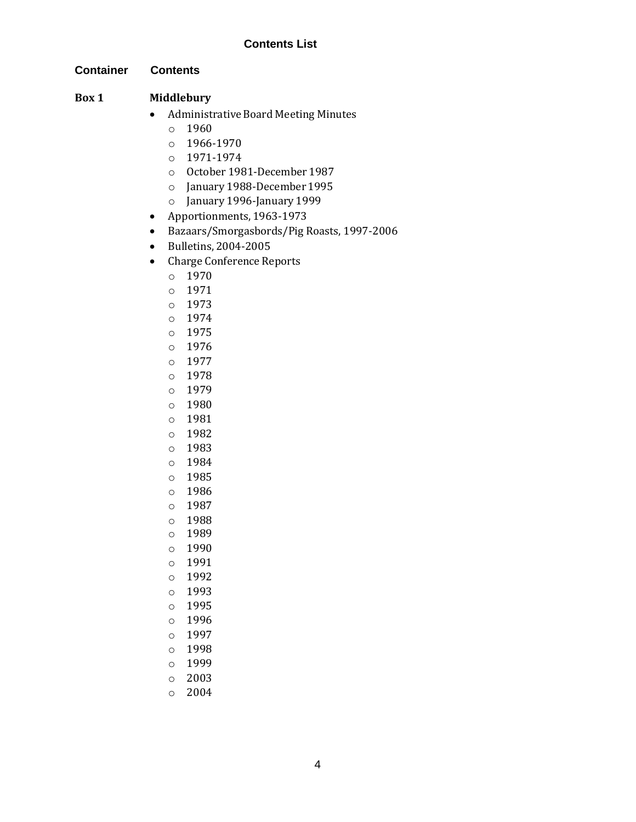#### **Contents List**

**Container Contents**

#### **Box 1 Middlebury**

- Administrative Board Meeting Minutes
	- $0 \quad 1960$
	- o 1966-1970
	- o 1971-1974
	- o October 1981-December 1987
	- o January 1988-December 1995
	- o January 1996-January 1999
- Apportionments, 1963-1973
- Bazaars/Smorgasbords/Pig Roasts, 1997-2006
- Bulletins, 2004-2005
- Charge Conference Reports
	- o 1970
	- o 1971
	- o 1973
	- o 1974
	- o 1975
	- o 1976
	- o 1977
	- o 1978
	- o 1979
	- o 1980
	- o 1981
	- o 1982
	- o 1983
	- o 1984
	- o 1985
	- o 1986
	- o 1987
	- o 1988
	- o 1989
	- o 1990
	- o 1991
	- o 1992
	- o 1993
	- o 1995
	- o 1996
	- o 1997
	- o 1998
	- o 1999
	- o 2003
	- o 2004